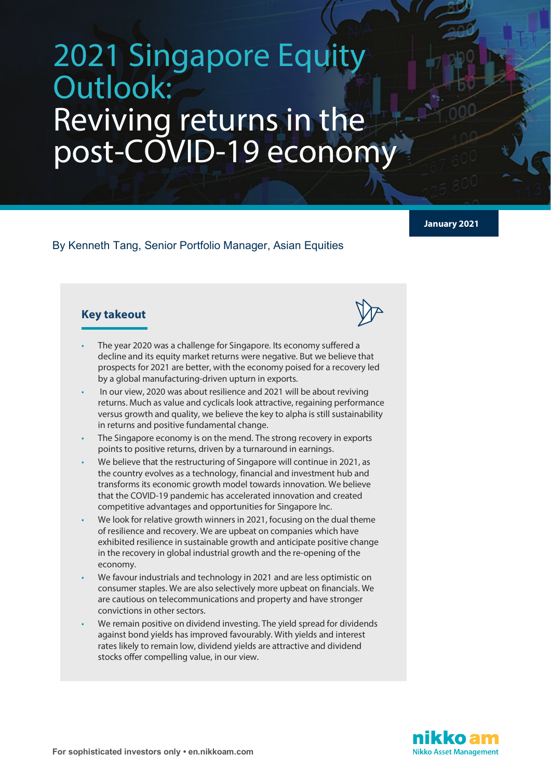# 2021 Singapore Equity Outlook: Reviving returns in the post-COVID-19 economy

**January 2021**

By Kenneth Tang, Senior Portfolio Manager, Asian Equities

## **Key takeout**

- The year 2020 was a challenge for Singapore. Its economy suffered a decline and its equity market returns were negative. But we believe that prospects for 2021 are better, with the economy poised for a recovery led by a global manufacturing-driven upturn in exports.
	- In our view, 2020 was about resilience and 2021 will be about reviving returns. Much as value and cyclicals look attractive, regaining performance versus growth and quality, we believe the key to alpha is still sustainability in returns and positive fundamental change.
	- The Singapore economy is on the mend. The strong recovery in exports points to positive returns, driven by a turnaround in earnings.
	- We believe that the restructuring of Singapore will continue in 2021, as the country evolves as a technology, financial and investment hub and transforms its economic growth model towards innovation. We believe that the COVID-19 pandemic has accelerated innovation and created competitive advantages and opportunities for Singapore Inc.
	- We look for relative growth winners in 2021, focusing on the dual theme of resilience and recovery. We are upbeat on companies which have exhibited resilience in sustainable growth and anticipate positive change in the recovery in global industrial growth and the re-opening of the economy.
	- We favour industrials and technology in 2021 and are less optimistic on consumer staples. We are also selectively more upbeat on financials. We are cautious on telecommunications and property and have stronger convictions in other sectors.
	- We remain positive on dividend investing. The yield spread for dividends against bond yields has improved favourably. With yields and interest rates likely to remain low, dividend yields are attractive and dividend stocks offer compelling value, in our view.

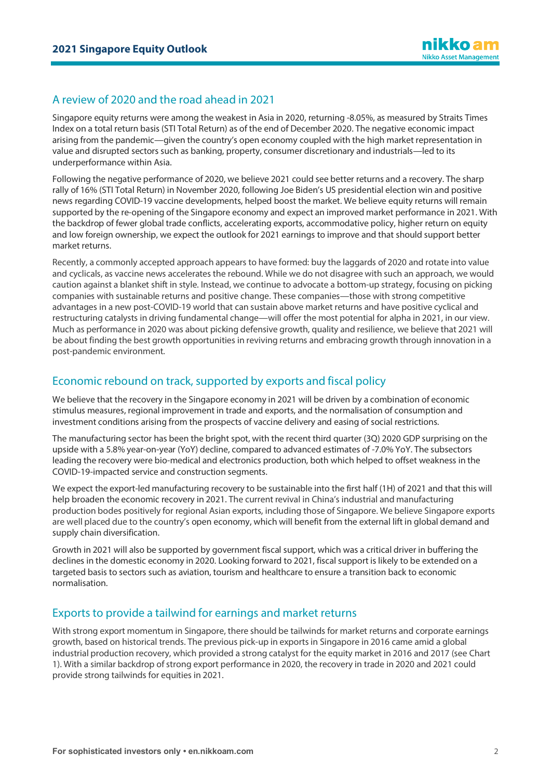## A review of 2020 and the road ahead in 2021

Singapore equity returns were among the weakest in Asia in 2020, returning -8.05%, as measured by Straits Times Index on a total return basis (STI Total Return) as of the end of December 2020. The negative economic impact arising from the pandemic—given the country's open economy coupled with the high market representation in value and disrupted sectors such as banking, property, consumer discretionary and industrials—led to its underperformance within Asia.

Following the negative performance of 2020, we believe 2021 could see better returns and a recovery. The sharp rally of 16% (STI Total Return) in November 2020, following Joe Biden's US presidential election win and positive news regarding COVID-19 vaccine developments, helped boost the market. We believe equity returns will remain supported by the re-opening of the Singapore economy and expect an improved market performance in 2021. With the backdrop of fewer global trade conflicts, accelerating exports, accommodative policy, higher return on equity and low foreign ownership, we expect the outlook for 2021 earnings to improve and that should support better market returns.

Recently, a commonly accepted approach appears to have formed: buy the laggards of 2020 and rotate into value and cyclicals, as vaccine news accelerates the rebound. While we do not disagree with such an approach, we would caution against a blanket shift in style. Instead, we continue to advocate a bottom-up strategy, focusing on picking companies with sustainable returns and positive change. These companies—those with strong competitive advantages in a new post-COVID-19 world that can sustain above market returns and have positive cyclical and restructuring catalysts in driving fundamental change—will offer the most potential for alpha in 2021, in our view. Much as performance in 2020 was about picking defensive growth, quality and resilience, we believe that 2021 will be about finding the best growth opportunities in reviving returns and embracing growth through innovation in a post-pandemic environment.

## Economic rebound on track, supported by exports and fiscal policy

We believe that the recovery in the Singapore economy in 2021 will be driven by a combination of economic stimulus measures, regional improvement in trade and exports, and the normalisation of consumption and investment conditions arising from the prospects of vaccine delivery and easing of social restrictions.

The manufacturing sector has been the bright spot, with the recent third quarter (3Q) 2020 GDP surprising on the upside with a 5.8% year-on-year (YoY) decline, compared to advanced estimates of -7.0% YoY. The subsectors leading the recovery were bio-medical and electronics production, both which helped to offset weakness in the COVID-19-impacted service and construction segments.

We expect the export-led manufacturing recovery to be sustainable into the first half (1H) of 2021 and that this will help broaden the economic recovery in 2021. The current revival in China's industrial and manufacturing production bodes positively for regional Asian exports, including those of Singapore. We believe Singapore exports are well placed due to the country's open economy, which will benefit from the external lift in global demand and supply chain diversification.

Growth in 2021 will also be supported by government fiscal support, which was a critical driver in buffering the declines in the domestic economy in 2020. Looking forward to 2021, fiscal support is likely to be extended on a targeted basis to sectors such as aviation, tourism and healthcare to ensure a transition back to economic normalisation.

## Exports to provide a tailwind for earnings and market returns

With strong export momentum in Singapore, there should be tailwinds for market returns and corporate earnings growth, based on historical trends. The previous pick-up in exports in Singapore in 2016 came amid a global industrial production recovery, which provided a strong catalyst for the equity market in 2016 and 2017 (see Chart 1). With a similar backdrop of strong export performance in 2020, the recovery in trade in 2020 and 2021 could provide strong tailwinds for equities in 2021.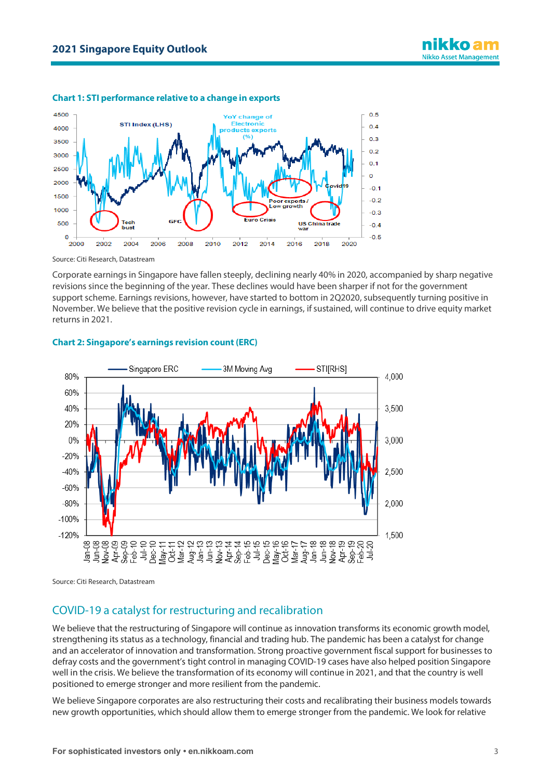

#### **Chart 1: STI performance relative to a change in exports**

Source: Citi Research, Datastream

Corporate earnings in Singapore have fallen steeply, declining nearly 40% in 2020, accompanied by sharp negative revisions since the beginning of the year. These declines would have been sharper if not for the government support scheme. Earnings revisions, however, have started to bottom in 2Q2020, subsequently turning positive in November. We believe that the positive revision cycle in earnings, if sustained, will continue to drive equity market returns in 2021.



#### **Chart 2: Singapore's earnings revision count (ERC)**

Source: Citi Research, Datastream

## COVID-19 a catalyst for restructuring and recalibration

We believe that the restructuring of Singapore will continue as innovation transforms its economic growth model, strengthening its status as a technology, financial and trading hub. The pandemic has been a catalyst for change and an accelerator of innovation and transformation. Strong proactive government fiscal support for businesses to defray costs and the government's tight control in managing COVID-19 cases have also helped position Singapore well in the crisis. We believe the transformation of its economy will continue in 2021, and that the country is well positioned to emerge stronger and more resilient from the pandemic.

We believe Singapore corporates are also restructuring their costs and recalibrating their business models towards new growth opportunities, which should allow them to emerge stronger from the pandemic. We look for relative

nikko am **Nikko Asset Management**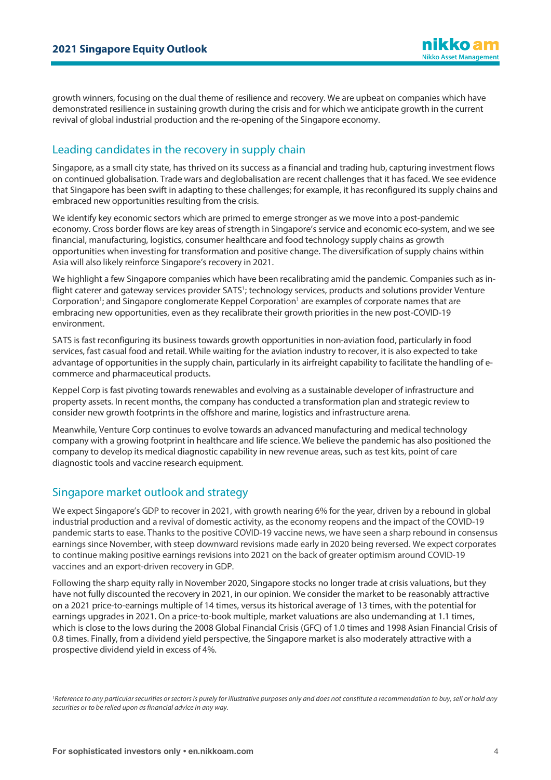ikko a **Nikko Asset Management** 

growth winners, focusing on the dual theme of resilience and recovery. We are upbeat on companies which have demonstrated resilience in sustaining growth during the crisis and for which we anticipate growth in the current revival of global industrial production and the re-opening of the Singapore economy.

## Leading candidates in the recovery in supply chain

Singapore, as a small city state, has thrived on its success as a financial and trading hub, capturing investment flows on continued globalisation. Trade wars and deglobalisation are recent challenges that it has faced. We see evidence that Singapore has been swift in adapting to these challenges; for example, it has reconfigured its supply chains and embraced new opportunities resulting from the crisis.

We identify key economic sectors which are primed to emerge stronger as we move into a post-pandemic economy. Cross border flows are key areas of strength in Singapore's service and economic eco-system, and we see financial, manufacturing, logistics, consumer healthcare and food technology supply chains as growth opportunities when investing for transformation and positive change. The diversification of supply chains within Asia will also likely reinforce Singapore's recovery in 2021.

We highlight a few Singapore companies which have been recalibrating amid the pandemic. Companies such as inflight caterer and gateway services provider SATS<sup>1</sup>; technology services, products and solutions provider Venture Corporation<sup>1</sup>; and Singapore conglomerate Keppel Corporation<sup>1</sup> are examples of corporate names that are embracing new opportunities, even as they recalibrate their growth priorities in the new post-COVID-19 environment.

SATS is fast reconfiguring its business towards growth opportunities in non-aviation food, particularly in food services, fast casual food and retail. While waiting for the aviation industry to recover, it is also expected to take advantage of opportunities in the supply chain, particularly in its airfreight capability to facilitate the handling of ecommerce and pharmaceutical products.

Keppel Corp is fast pivoting towards renewables and evolving as a sustainable developer of infrastructure and property assets. In recent months, the company has conducted a transformation plan and strategic review to consider new growth footprints in the offshore and marine, logistics and infrastructure arena.

Meanwhile, Venture Corp continues to evolve towards an advanced manufacturing and medical technology company with a growing footprint in healthcare and life science. We believe the pandemic has also positioned the company to develop its medical diagnostic capability in new revenue areas, such as test kits, point of care diagnostic tools and vaccine research equipment.

### Singapore market outlook and strategy

We expect Singapore's GDP to recover in 2021, with growth nearing 6% for the year, driven by a rebound in global industrial production and a revival of domestic activity, as the economy reopens and the impact of the COVID-19 pandemic starts to ease. Thanks to the positive COVID-19 vaccine news, we have seen a sharp rebound in consensus earnings since November, with steep downward revisions made early in 2020 being reversed. We expect corporates to continue making positive earnings revisions into 2021 on the back of greater optimism around COVID-19 vaccines and an export-driven recovery in GDP.

Following the sharp equity rally in November 2020, Singapore stocks no longer trade at crisis valuations, but they have not fully discounted the recovery in 2021, in our opinion. We consider the market to be reasonably attractive on a 2021 price-to-earnings multiple of 14 times, versus its historical average of 13 times, with the potential for earnings upgrades in 2021. On a price-to-book multiple, market valuations are also undemanding at 1.1 times, which is close to the lows during the 2008 Global Financial Crisis (GFC) of 1.0 times and 1998 Asian Financial Crisis of 0.8 times. Finally, from a dividend yield perspective, the Singapore market is also moderately attractive with a prospective dividend yield in excess of 4%.

*1Reference to any particular securities or sectors is purely for illustrative purposes only and does not constitute a recommendation to buy, sell or hold any securities or to be relied upon as financial advice in any way.*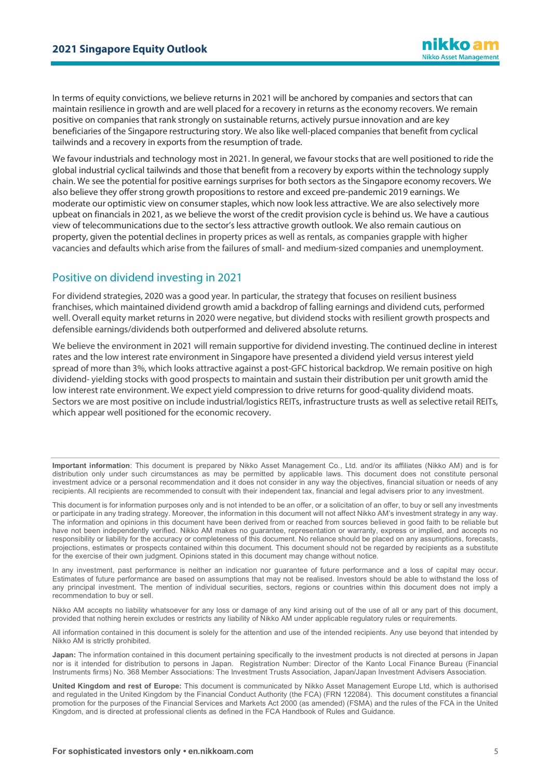In terms of equity convictions, we believe returns in 2021 will be anchored by companies and sectors that can maintain resilience in growth and are well placed for a recovery in returns as the economy recovers. We remain positive on companies that rank strongly on sustainable returns, actively pursue innovation and are key beneficiaries of the Singapore restructuring story. We also like well-placed companies that benefit from cyclical tailwinds and a recovery in exports from the resumption of trade.

We favour industrials and technology most in 2021. In general, we favour stocks that are well positioned to ride the global industrial cyclical tailwinds and those that benefit from a recovery by exports within the technology supply chain. We see the potential for positive earnings surprises for both sectors as the Singapore economy recovers. We also believe they offer strong growth propositions to restore and exceed pre-pandemic 2019 earnings. We moderate our optimistic view on consumer staples, which now look less attractive. We are also selectively more upbeat on financials in 2021, as we believe the worst of the credit provision cycle is behind us. We have a cautious view of telecommunications due to the sector's less attractive growth outlook. We also remain cautious on property, given the potential declines in property prices as well as rentals, as companies grapple with higher vacancies and defaults which arise from the failures of small- and medium-sized companies and unemployment.

## Positive on dividend investing in 2021

For dividend strategies, 2020 was a good year. In particular, the strategy that focuses on resilient business franchises, which maintained dividend growth amid a backdrop of falling earnings and dividend cuts, performed well. Overall equity market returns in 2020 were negative, but dividend stocks with resilient growth prospects and defensible earnings/dividends both outperformed and delivered absolute returns.

We believe the environment in 2021 will remain supportive for dividend investing. The continued decline in interest rates and the low interest rate environment in Singapore have presented a dividend yield versus interest yield spread of more than 3%, which looks attractive against a post-GFC historical backdrop. We remain positive on high dividend- yielding stocks with good prospects to maintain and sustain their distribution per unit growth amid the low interest rate environment. We expect yield compression to drive returns for good-quality dividend moats. Sectors we are most positive on include industrial/logistics REITs, infrastructure trusts as well as selective retail REITs, which appear well positioned for the economic recovery.

**Important information**: This document is prepared by Nikko Asset Management Co., Ltd. and/or its affiliates (Nikko AM) and is for distribution only under such circumstances as may be permitted by applicable laws. This document does not constitute personal investment advice or a personal recommendation and it does not consider in any way the objectives, financial situation or needs of any recipients. All recipients are recommended to consult with their independent tax, financial and legal advisers prior to any investment.

This document is for information purposes only and is not intended to be an offer, or a solicitation of an offer, to buy or sell any investments or participate in any trading strategy. Moreover, the information in this document will not affect Nikko AM's investment strategy in any way. The information and opinions in this document have been derived from or reached from sources believed in good faith to be reliable but have not been independently verified. Nikko AM makes no guarantee, representation or warranty, express or implied, and accepts no responsibility or liability for the accuracy or completeness of this document. No reliance should be placed on any assumptions, forecasts, projections, estimates or prospects contained within this document. This document should not be regarded by recipients as a substitute for the exercise of their own judgment. Opinions stated in this document may change without notice.

In any investment, past performance is neither an indication nor guarantee of future performance and a loss of capital may occur. Estimates of future performance are based on assumptions that may not be realised. Investors should be able to withstand the loss of any principal investment. The mention of individual securities, sectors, regions or countries within this document does not imply a recommendation to buy or sell.

Nikko AM accepts no liability whatsoever for any loss or damage of any kind arising out of the use of all or any part of this document, provided that nothing herein excludes or restricts any liability of Nikko AM under applicable regulatory rules or requirements.

All information contained in this document is solely for the attention and use of the intended recipients. Any use beyond that intended by Nikko AM is strictly prohibited.

**Japan:** The information contained in this document pertaining specifically to the investment products is not directed at persons in Japan nor is it intended for distribution to persons in Japan. Registration Number: Director of the Kanto Local Finance Bureau (Financial Instruments firms) No. 368 Member Associations: The Investment Trusts Association, Japan/Japan Investment Advisers Association.

**United Kingdom and rest of Europe:** This document is communicated by Nikko Asset Management Europe Ltd, which is authorised and regulated in the United Kingdom by the Financial Conduct Authority (the FCA) (FRN 122084). This document constitutes a financial promotion for the purposes of the Financial Services and Markets Act 2000 (as amended) (FSMA) and the rules of the FCA in the United Kingdom, and is directed at professional clients as defined in the FCA Handbook of Rules and Guidance.